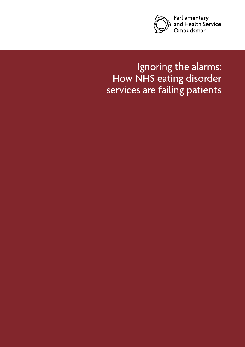

# Ignoring the alarms: How NHS eating disorder services are failing patients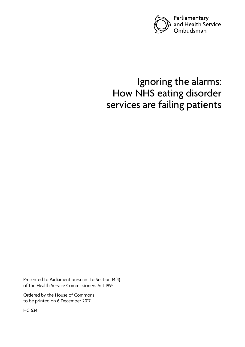

# Ignoring the alarms: How NHS eating disorder services are failing patients

Presented to Parliament pursuant to Section 14(4) of the Health Service Commissioners Act 1993

Ordered by the House of Commons to be printed on 6 December 2017

HC 634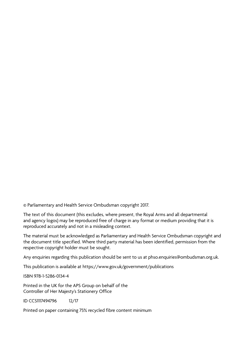© Parliamentary and Health Service Ombudsman copyright 2017.

The text of this document (this excludes, where present, the Royal Arms and all departmental and agency logos) may be reproduced free of charge in any format or medium providing that it is reproduced accurately and not in a misleading context.

The material must be acknowledged as Parliamentary and Health Service Ombudsman copyright and the document title specified. Where third party material has been identified, permission from the respective copyright holder must be sought.

Any enquiries regarding this publication should be sent to us at phso.enquiries@ombudsman.org.uk.

This publication is available at https://www.gov.uk/government/publications

ISBN 978-1-5286-0134-4

Printed in the UK for the APS Group on behalf of the Controller of Her Majesty's Stationery Office

ID CCS1117494796 12/17

Printed on paper containing 75% recycled fibre content minimum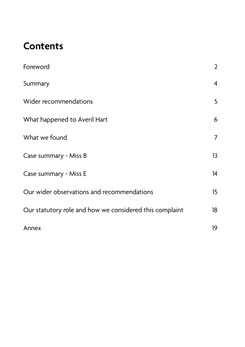# **Contents**

| Foreword                                                | $\overline{2}$   |
|---------------------------------------------------------|------------------|
| Summary                                                 | $\overline{4}$   |
| Wider recommendations                                   | 5                |
| What happened to Averil Hart                            | 6                |
| What we found                                           | $\overline{7}$   |
| Case summary - Miss B                                   | 13               |
| Case summary - Miss E                                   | 14               |
| Our wider observations and recommendations              | 15 <sub>15</sub> |
| Our statutory role and how we considered this complaint | 18               |
| Annex                                                   | 19               |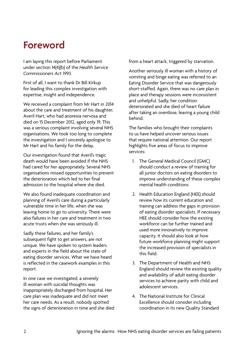# <span id="page-5-0"></span>**Foreword**

I am laying this report before Parliament under section 14(4)(b) of the *Health Service Commissioners Act 1993.* 

First of all, I want to thank Dr Bill Kirkup for leading this complex investigation with expertise, insight and independence.

We received a complaint from Mr Hart in 2014 about the care and treatment of his daughter, Averil Hart, who had anorexia nervosa and died on 15 December 2012, aged only 19. This was a serious complaint involving several NHS organisations. We took too long to complete the investigation and I sincerely apologise to Mr Hart and his family for the delay.

Our investigation found that Averil's tragic death would have been avoided if the NHS had cared for her appropriately. Several NHS organisations missed opportunities to prevent the deterioration which led to her final admission to the hospital where she died.

We also found inadequate coordination and planning of Averil's care during a particularly vulnerable time in her life, when she was leaving home to go to university. There were also failures in her care and treatment in two acute trusts when she was seriously ill.

Sadly these failures, and her family's subsequent fight to get answers, are not unique. We have spoken to system leaders and experts in the field about the state of eating disorder services. What we have heard is reflected in the casework examples in this report.

In one case we investigated, a severely ill woman with suicidal thoughts was inappropriately discharged from hospital. Her care plan was inadequate and did not meet her care needs. As a result, nobody spotted the signs of deterioration in time and she died from a heart attack, triggered by starvation.

Another seriously ill woman with a history of vomiting and binge eating was referred to an Eating Disorder Service that was dangerously short-staffed. Again, there was no care plan in place and therapy sessions were inconsistent and unhelpful. Sadly, her condition deteriorated and she died of heart failure after taking an overdose, leaving a young child behind.

The families who brought their complaints to us have helped uncover serious issues that require national attention. Our report highlights five areas of focus to improve services:

- 1. The General Medical Council (GMC) should conduct a review of training for all junior doctors on eating disorders to improve understanding of these complex mental health conditions
- 2. Health Education England (HEE) should review how its current education and training can address the gaps in provision of eating disorder specialists. If necessary HEE should consider how the existing workforce can be further trained and used more innovatively to improve capacity. It should also look at how future workforce planning might support the increased provision of specialists in this field.
- 3. The Department of Health and NHS England should review the existing quality and availability of adult eating disorder services to achieve parity with child and adolescent services.
- 4. The National Institute for Clinical Excellence should consider including coordination in its new Quality Standard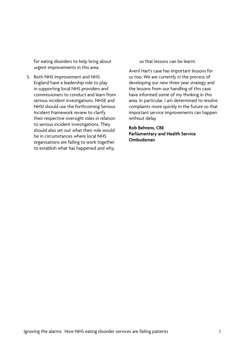for eating disorders to help bring about urgent improvements in this area.

5. Both NHS Improvement and NHS England have a leadership role to play in supporting local NHS providers and commissioners to conduct and learn from serious incident investigations. NHSE and NHSI should use the forthcoming Serious Incident Framework review to clarify their respective oversight roles in relation to serious incident investigations. They should also set out what their role would be in circumstances where local NHS organisations are failing to work together to establish what has happened and why,

so that lessons can be learnt.

Averil Hart's case has important lessons for us too. We are currently in the process of developing our new three year strategy and the lessons from our handling of this case have informed some of my thinking in this area. In particular, I am determined to resolve complaints more quickly in the future so that important service improvements can happen without delay.

**Rob Behrens, CBE Parliamentary and Health Service Ombudsman**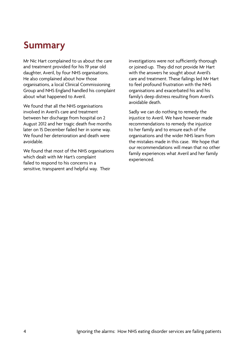## **Summary**

Mr Nic Hart complained to us about the care and treatment provided for his 19 year old daughter, Averil, by four NHS organisations. He also complained about how those organisations, a local Clinical Commissioning Group and NHS England handled his complaint about what happened to Averil.

We found that all the NHS organisations involved in Averil's care and treatment between her discharge from hospital on 2 August 2012 and her tragic death five months later on 15 December failed her in some way. We found her deterioration and death were avoidable.

We found that most of the NHS organisations which dealt with Mr Hart's complaint failed to respond to his concerns in a sensitive, transparent and helpful way. Their

investigations were not sufficiently thorough or joined-up. They did not provide Mr Hart with the answers he sought about Averil's care and treatment. These failings led Mr Hart to feel profound frustration with the NHS organisations and exacerbated his and his family's deep distress resulting from Averil's avoidable death.

Sadly we can do nothing to remedy the injustice to Averil. We have however made recommendations to remedy the injustice to her family and to ensure each of the organisations and the wider NHS learn from the mistakes made in this case. We hope that our recommendations will mean that no other family experiences what Averil and her family experienced.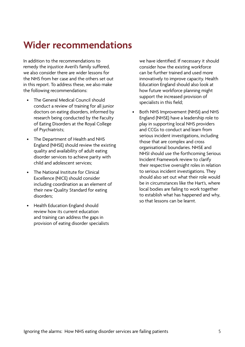# **Wider recommendations**

In addition to the recommendations to remedy the injustice Averil's family suffered, we also consider there are wider lessons for the NHS from her case and the others set out in this report. To address these, we also make the following recommendations:

- The General Medical Council should conduct a review of training for all junior doctors on eating disorders, informed by research being conducted by the Faculty of Eating Disorders at the Royal College of Psychiatrists;
- The Department of Health and NHS England (NHSE) should review the existing quality and availability of adult eating disorder services to achieve parity with child and adolescent services;
- The National Institute for Clinical Excellence (NICE) should consider including coordination as an element of their new Quality Standard for eating disorders;
- Health Education England should review how its current education and training can address the gaps in provision of eating disorder specialists

we have identified. If necessary it should consider how the existing workforce can be further trained and used more innovatively to improve capacity. Health Education England should also look at how future workforce planning might support the increased provision of specialists in this field;

• Both NHS Improvement (NHSI) and NHS England (NHSE) have a leadership role to play in supporting local NHS providers and CCGs to conduct and learn from serious incident investigations, including those that are complex and cross organisational boundaries. NHSE and NHSI should use the forthcoming Serious Incident Framework review to clarify their respective oversight roles in relation to serious incident investigations. They should also set out what their role would be in circumstances like the Hart's, where local bodies are failing to work together to establish what has happened and why, so that lessons can be learnt.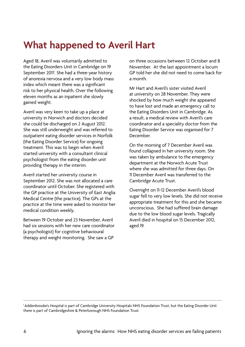# **What happened to Averil Hart**

Aged 18, Averil was voluntarily admitted to the Eating Disorders Unit in Cambridge on 19 September 2011<sup>1</sup>. She had a three-year history of anorexia nervosa and a very low body mass index which meant there was a significant risk to her physical health. Over the following eleven months as an inpatient she slowly gained weight.

Averil was very keen to take up a place at university in Norwich and doctors decided she could be discharged on 2 August 2012. She was still underweight and was referred to outpatient eating disorder services in Norfolk (the Eating Disorder Service) for ongoing treatment. This was to begin when Averil started university with a consultant clinical psychologist from the eating disorder unit providing therapy in the interim.

Averil started her university course in September 2012. She was not allocated a care coordinator until October. She registered with the GP practice at the University of East Anglia Medical Centre (the practice). The GPs at the practice at the time were asked to monitor her medical condition weekly.

Between 19 October and 23 November, Averil had six sessions with her new care coordinator (a psychologist) for cognitive behavioural therapy and weight monitoring. She saw a GP

on three occasions between 12 October and 8 November. At the last appointment a locum GP told her she did not need to come back for a month.

Mr Hart and Averil's sister visited Averil at university on 28 November. They were shocked by how much weight she appeared to have lost and made an emergency call to the Eating Disorders Unit in Cambridge. As a result, a medical review with Averil's care coordinator and a speciality doctor from the Eating Disorder Service was organised for 7 December.

On the morning of 7 December Averil was found collapsed in her university room. She was taken by ambulance to the emergency department at the Norwich Acute Trust where she was admitted for three days. On 11 December Averil was transferred to the Cambridge Acute Trust.

Overnight on 11-12 December Averil's blood sugar fell to very low levels. She did not receive appropriate treatment for this and she became unconscious. She had suffered brain damage due to the low blood sugar levels. Tragically Averil died in hospital on 15 December 2012, aged 19.

<sup>&</sup>lt;sup>1</sup> Addenbrooke's Hospital is part of Cambridge University Hospitals NHS Foundation Trust, but the Eating Disorder Unit there is part of Cambridgeshire & Peterborough NHS Foundation Trust.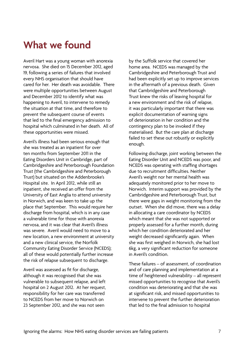## **What we found**

Averil Hart was a young woman with anorexia nervosa. She died on 15 December 2012, aged 19, following a series of failures that involved every NHS organisation that should have cared for her. Her death was avoidable. There were multiple opportunities between August and December 2012 to identify what was happening to Averil, to intervene to remedy the situation at that time, and therefore to prevent the subsequent course of events that led to the final emergency admission to hospital which culminated in her death. All of these opportunities were missed.

Averil's illness had been serious enough that she was treated as an inpatient for over ten months from September 2011 in the Eating Disorders Unit in Cambridge, part of Cambridgeshire and Peterborough Foundation Trust (the Cambridgeshire and Peterborough Trust) but situated on the Addenbrooke's Hospital site. In April 2012, while still an inpatient, she received an offer from the University of East Anglia to attend university in Norwich, and was keen to take up the place that September. This would require her discharge from hospital, which is in any case a vulnerable time for those with anorexia nervosa, and it was clear that Averil's illness was severe. Averil would need to move to a new location, a new environment at university and a new clinical service, the Norfolk Community Eating Disorder Service (NCEDS); all of these would potentially further increase the risk of relapse subsequent to discharge.

Averil was assessed as fit for discharge, although it was recognised that she was vulnerable to subsequent relapse, and left hospital on 2 August 2012. At her request, responsibility for her care was transferred to NCEDS from her move to Norwich on 23 September 2012, and she was not seen

by the Suffolk service that covered her home area. NCEDS was managed by the Cambridgeshire and Peterborough Trust and had been explicitly set up to improve services in the aftermath of a previous death. Given that Cambridgeshire and Peterborough Trust knew the risks of leaving hospital for a new environment and the risk of relapse, it was particularly important that there was explicit documentation of warning signs of deterioration in her condition and the contingency plan to be invoked if they materialised. But the care plan at discharge failed to set these out robustly or explicitly enough.

Following discharge, joint working between the Eating Disorder Unit and NCEDS was poor, and NCEDS was operating with staffing shortages due to recruitment difficulties. Neither Averil's weight nor her mental health was adequately monitored prior to her move to Norwich. Interim support was provided by the Cambridgeshire and Peterborough Trust, but there were gaps in weight monitoring from the outset. When she did move, there was a delay in allocating a care coordinator by NCEDS which meant that she was not supported or properly assessed for a further month, during which her condition deteriorated and her weight decreased significantly again. When she was first weighed in Norwich, she had lost 6kg, a very significant reduction for someone in Averil's condition.

These failures – of assessment, of coordination and of care planning and implementation at a time of heightened vulnerability – all represent missed opportunities to recognise that Averil's condition was deteriorating and that she was at significant risk, and missed opportunities to intervene to prevent the further deterioration that led to the final admission to hospital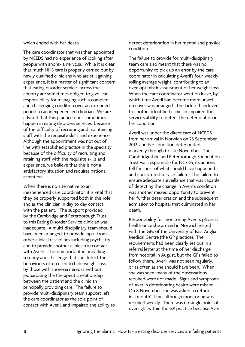which ended with her death.

The care coordinator that was then appointed by NCEDS had no experience of looking after people with anorexia nervosa. While it is clear that much NHS care is properly carried out by newly qualified clinicians who are still gaining experience, it is a matter of significant concern that eating disorder services across the country are sometimes obliged to give lead responsibility for managing such a complex and challenging condition over an extended period to an inexperienced clinician. We are advised that this practice does sometimes happen in eating disorders services, because of the difficulty of recruiting and maintaining staff with the requisite skills and experience. Although the appointment was not out of line with established practice in the specialty because of the difficulty of recruiting and retaining staff with the requisite skills and experience, we believe that this is not a satisfactory situation and requires national attention.

When there is no alternative to an inexperienced care coordinator, it is vital that they be properly supported both in this role and as the clinician in day to day contact with the patient. The support provided by the Cambridge and Peterborough Trust to this Eating Disorder Service clinician was inadequate. A multi-disciplinary team should have been arranged, to provide input from other clinical disciplines including psychiatry and to provide another clinician in contact with Averil. This is important in providing scrutiny and challenge that can detect the behaviours often used to hide weight loss by those with anorexia nervosa without jeopardising the therapeutic relationship between the patient and the clinician principally providing care. The failure to provide multi-disciplinary team support left the care coordinator as the sole point of contact with Averil, and impaired the ability to detect deterioration in her mental and physical condition.

The failure to provide for multi-disciplinary team care also meant that there was no opportunity to pick up an error by the care coordinator in calculating Averil's four-weekly rolling average weight, contributing to an over-optimistic assessment of her weight loss. When the care coordinator went on leave, by which time Averil had become more unwell, no cover was arranged. The lack of handover to another identified clinician impaired the service's ability to detect the deterioration in her condition.

Averil was under the direct care of NCEDS from her arrival in Norwich on 23 September 2012, and her condition deteriorated markedly through to late November. The Cambridgeshire and Peterborough Foundation Trust was responsible for NCEDS; its actions fell far short of what should have happened and constituted service failure. The failure to ensure adequate surveillance that was capable of detecting the change in Averil's condition was another missed opportunity to prevent her further deterioration and the subsequent admission to hospital that culminated in her death.

Responsibility for monitoring Averil's physical health once she arrived in Norwich rested with the GPs of the University of East Anglia Medical Centre (the GP practice). The requirements had been clearly set out in a referral letter at the time of her discharge from hospital in August, but the GPs failed to follow them. Averil was not seen regularly, or as often as she should have been. When she was seen, many of the observations required were not made. Signs and symptoms of Averil's deteriorating health were missed. On 8 November, she was asked to return in a month's time, although monitoring was required weekly. There was no single point of oversight within the GP practice because Averil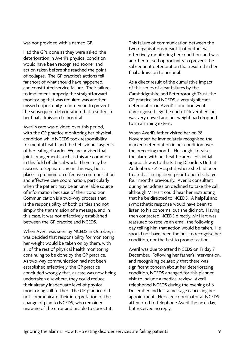was not provided with a named GP.

Had the GPs done as they were asked, the deterioration in Averil's physical condition would have been recognised sooner and action taken before she reached the point of collapse. The GP practice's actions fell far short of what should have happened, and constituted service failure. Their failure to implement properly the straightforward monitoring that was required was another missed opportunity to intervene to prevent the subsequent deterioration that resulted in her final admission to hospital.

Averil's care was divided over this period, with the GP practice monitoring her physical condition while NCEDS took responsibility for mental health and the behavioural aspects of her eating disorder. We are advised that joint arrangements such as this are common in this field of clinical work. There may be reasons to separate care in this way, but it places a premium on effective communication and effective care coordination, particularly when the patient may be an unreliable source of information because of their condition. Communication is a two-way process that is the responsibility of both parties and not simply the transmission of a message, and in this case, it was not effectively established between the GP practice and NCEDS.

When Averil was seen by NCEDS in October, it was decided that responsibility for monitoring her weight would be taken on by them, with all of the rest of physical health monitoring continuing to be done by the GP practice. As two-way communication had not been established effectively, the GP practice concluded wrongly that, as care was now being undertaken elsewhere, they could reduce their already inadequate level of physical monitoring still further. The GP practice did not communicate their interpretation of the change of plan to NCEDS, who remained unaware of the error and unable to correct it.

This failure of communication between the two organisations meant that neither was effectively monitoring her condition, and was another missed opportunity to prevent the subsequent deterioration that resulted in her final admission to hospital.

As a direct result of the cumulative impact of this series of clear failures by the Cambridgeshire and Peterborough Trust, the GP practice and NCEDS, a very significant deterioration in Averil's condition went unrecognised. By the end of November she was very unwell and her weight had dropped to an alarming extent.

When Averil's father visited her on 28 November, he immediately recognised the marked deterioration in her condition over the preceding month. He sought to raise the alarm with her health carers. His initial approach was to the Eating Disorders Unit at Addenbrooke's Hospital, where she had been treated as an inpatient prior to her discharge four months previously. Averil's consultant during her admission declined to take the call although Mr Hart could hear her instructing that he be directed to NCEDS. A helpful and sympathetic response would have been to listen to his concerns, but she did not. Having then contacted NCEDS directly, Mr Hart was reassured to receive an email the following day telling him that action would be taken. He should not have been the first to recognise her condition, nor the first to prompt action.

Averil was due to attend NCEDS on Friday 7 December. Following her father's intervention, and recognising belatedly that there was significant concern about her deteriorating condition, NCEDS arranged for this planned visit to include a medical review. Averil telephoned NCEDS during the evening of 6 December and left a message cancelling her appointment. Her care coordinator at NCEDS attempted to telephone Averil the next day, but received no reply.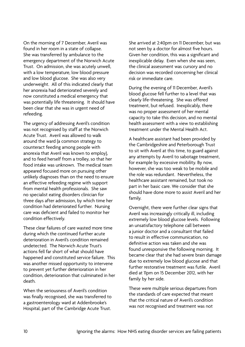On the morning of 7 December, Averil was found in her room in a state of collapse. She was transferred by ambulance to the emergency department of the Norwich Acute Trust. On admission, she was acutely unwell, with a low temperature, low blood pressure and low blood glucose. She was also very underweight. All of this indicated clearly that her anorexia had deteriorated severely and now constituted a medical emergency that was potentially life threatening. It should have been clear that she was in urgent need of refeeding.

The urgency of addressing Averil's condition was not recognised by staff at the Norwich Acute Trust. Averil was allowed to walk around the ward (a common strategy to counteract feeding among people with anorexia that Averil was known to employ), and to feed herself from a trolley, so that her food intake was unknown. The medical team appeared focused more on pursuing other unlikely diagnoses than on the need to ensure an effective refeeding regime with support from mental health professionals. She saw no specialist eating disorders clinician for three days after admission, by which time her condition had deteriorated further. Nursing care was deficient and failed to monitor her condition effectively.

These clear failures of care wasted more time during which the continued further acute deterioration in Averil's condition remained undetected. The Norwich Acute Trust's actions fell far short of what should have happened and constituted service failure. This was another missed opportunity to intervene to prevent yet further deterioration in her condition, deterioration that culminated in her death.

When the seriousness of Averil's condition was finally recognised, she was transferred to a gastroenterology ward at Addenbrooke's Hospital, part of the Cambridge Acute Trust.

She arrived at 2:40pm on 11 December, but was not seen by a doctor for almost five hours. Given her condition, this was a significant and inexplicable delay. Even when she was seen, the clinical assessment was cursory and no decision was recorded concerning her clinical risk or immediate care.

During the evening of 11 December, Averil's blood glucose fell further to a level that was clearly life-threatening. She was offered treatment, but refused. Inexplicably, there was no proper assessment of her mental capacity to take this decision, and no mental health assessment with a view to establishing treatment under the Mental Health Act.

A healthcare assistant had been provided by the Cambridgeshire and Peterborough Trust to sit with Averil at this time, to guard against any attempts by Averil to sabotage treatment, for example by excessive mobility. By now, however, she was too weak to be mobile and the role was redundant. Nevertheless, the healthcare assistant remained, but took no part in her basic care. We consider that she should have done more to assist Averil and her family.

Overnight, there were further clear signs that Averil was increasingly critically ill, including extremely low blood glucose levels. Following an unsatisfactory telephone call between a iunior doctor and a consultant that failed to result in effective communication, no definitive action was taken and she was found unresponsive the following morning. It became clear that she had severe brain damage due to extremely low blood glucose and that further restorative treatment was futile. Averil died at 11pm on 15 December 2012, with her family by her side.

These were multiple serious departures from the standards of care expected that meant that the critical nature of Averil's condition was not recognised and treatment was not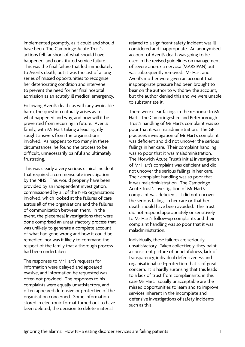implemented promptly, as it could and should have been. The Cambridge Acute Trust's actions fell far short of what should have happened, and constituted service failure. This was the final failure that led immediately to Averil's death, but it was the last of a long series of missed opportunities to recognise her deteriorating condition and intervene to prevent the need for her final hospital admission as an acutely ill medical emergency.

Following Averil's death, as with any avoidable harm, the question naturally arises as to what happened and why, and how will it be prevented from recurring in future. Averil's family, with Mr Hart taking a lead, rightly sought answers from the organisations involved. As happens to too many in these circumstances, he found the process to be difficult, unnecessarily painful and ultimately frustrating.

This was clearly a very serious clinical incident that required a commensurate investigation by the NHS. This would properly have been provided by an independent investigation, commissioned by all of the NHS organisations involved, which looked at the failures of care across all of the organisations and the failures of communication between them. In the event, the piecemeal investigations that were done comprised an unsatisfactory process that was unlikely to generate a complete account of what had gone wrong and how it could be remedied; nor was it likely to command the respect of the family that a thorough process had been undertaken.

The responses to Mr Hart's requests for information were delayed and appeared evasive, and information he requested was often not provided. The responses to his complaints were equally unsatisfactory, and often appeared defensive or protective of the organisation concerned. Some information stored in electronic format turned out to have been deleted; the decision to delete material

related to a significant safety incident was illconsidered and inappropriate. An anonymised account of Averil's death was going to be used in the revised guidelines on management of severe anorexia nervosa (MARSIPAN) but was subsequently removed. Mr Hart and Averil's mother were given an account that inappropriate pressure had been brought to bear on the author to withdraw the account, but the author denied this and we were unable to substantiate it.

There were clear failings in the response to Mr Hart. The Cambridgeshire and Peterborough Trust's handling of Mr Hart's complaint was so poor that it was maladministration. The GP practice's investigation of Mr Hart's complaint was deficient and did not uncover the serious failings in her care. Their complaint handling was so poor that it was maladministration. The Norwich Acute Trust's initial investigation of Mr Hart's complaint was deficient and did not uncover the serious failings in her care. Their complaint handling was so poor that it was maladministration. The Cambridge Acute Trust's investigation of Mr Hart's complaint was deficient. It did not uncover the serious failings in her care or that her death should have been avoided. The Trust did not respond appropriately or sensitively to Mr Hart's follow-up complaints and their complaint handling was so poor that it was maladministration.

Individually, these failures are seriously unsatisfactory. Taken collectively, they paint a consistent picture of unhelpfulness, lack of transparency, individual defensiveness and organisational self-protection that is of great concern. It is hardly surprising that this leads to a lack of trust from complainants, in this case Mr Hart. Equally unacceptable are the missed opportunities to learn and to improve services inherent in the incomplete and defensive investigations of safety incidents such as this.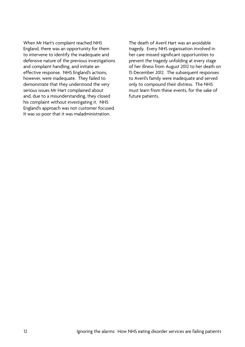When Mr Hart's complaint reached NHS England, there was an opportunity for them to intervene to identify the inadequate and defensive nature of the previous investigations and complaint handling, and initiate an effective response. NHS England's actions, however, were inadequate. They failed to demonstrate that they understood the very serious issues Mr Hart complained about and, due to a misunderstanding, they closed his complaint without investigating it. NHS England's approach was not customer focused. It was so poor that it was maladministration.

The death of Averil Hart was an avoidable tragedy. Every NHS organisation involved in her care missed significant opportunities to prevent the tragedy unfolding at every stage of her illness from August 2012 to her death on 15 December 2012. The subsequent responses to Averil's family were inadequate and served only to compound their distress. The NHS must learn from these events, for the sake of future patients.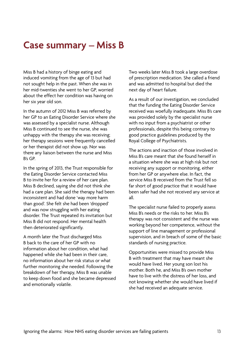### **Case summary – Miss B**

Miss B had a history of binge eating and induced vomiting from the age of 13 but had not sought help in the past. When she was in her mid-twenties she went to her GP, worried about the effect her condition was having on her six year old son.

In the autumn of 2012 Miss B was referred by her GP to an Eating Disorder Service where she was assessed by a specialist nurse. Although Miss B continued to see the nurse, she was unhappy with the therapy she was receiving; her therapy sessions were frequently cancelled or her therapist did not show up. Nor was there any liaison between the nurse and Miss B's GP.

In the spring of 2013, the Trust responsible for the Eating Disorder Service contacted Miss B to invite her for a review of her care plan. Miss B declined, saying she did not think she had a care plan. She said the therapy had been inconsistent and had done 'way more harm than good'. She felt she had been 'dropped' and was now struggling with her eating disorder. The Trust repeated its invitation but Miss B did not respond. Her mental health then deteriorated significantly.

A month later the Trust discharged Miss B back to the care of her GP with no information about her condition, what had happened while she had been in their care, no information about her risk status or what further monitoring she needed. Following the breakdown of her therapy, Miss B was unable to keep down food and she became depressed and emotionally volatile.

Two weeks later Miss B took a large overdose of prescription medication. She called a friend and was admitted to hospital but died the next day of heart failure.

As a result of our investigation, we concluded that the funding the Eating Disorder Service received was woefully inadequate. Miss B's care was provided solely by the specialist nurse with no input from a psychiatrist or other professionals, despite this being contrary to good practice guidelines produced by the Royal College of Psychiatrists.

The actions and inaction of those involved in Miss B's care meant that she found herself in a situation where she was at high risk but not receiving any support or monitoring, either from her GP or anywhere else. In fact, the service Miss B received from the Trust fell so far short of good practice that it would have been safer had she not received any service at all.

The specialist nurse failed to properly assess Miss B's needs or the risks to her. Miss B's therapy was not consistent and the nurse was working beyond her competence, without the support of line management or professional supervision, and in breach of some of the basic standards of nursing practice.

Opportunities were missed to provide Miss B with treatment that may have meant she would have lived. Her young son lost his mother. Both he, and Miss B's own mother have to live with the distress of her loss, and not knowing whether she would have lived if she had received an adequate service.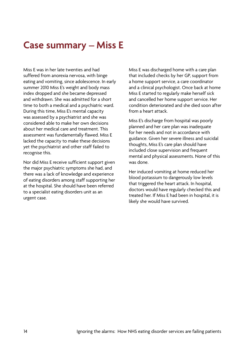## **Case summary – Miss E**

Miss E was in her late twenties and had suffered from anorexia nervosa, with binge eating and vomiting, since adolescence. In early summer 2010 Miss E's weight and body mass index dropped and she became depressed and withdrawn. She was admitted for a short time to both a medical and a psychiatric ward. During this time, Miss E's mental capacity was assessed by a psychiatrist and she was considered able to make her own decisions about her medical care and treatment. This assessment was fundamentally flawed. Miss E lacked the capacity to make these decisions yet the psychiatrist and other staff failed to recognise this.

Nor did Miss E receive sufficient support given the major psychiatric symptoms she had, and there was a lack of knowledge and experience of eating disorders among staff supporting her at the hospital. She should have been referred to a specialist eating disorders unit as an urgent case.

Miss E was discharged home with a care plan that included checks by her GP, support from a home support service, a care coordinator and a clinical psychologist. Once back at home Miss E started to regularly make herself sick and cancelled her home support service. Her condition deteriorated and she died soon after from a heart attack.

Miss E's discharge from hospital was poorly planned and her care plan was inadequate for her needs and not in accordance with guidance. Given her severe illness and suicidal thoughts, Miss E's care plan should have included close supervision and frequent mental and physical assessments. None of this was done.

Her induced vomiting at home reduced her blood potassium to dangerously low levels that triggered the heart attack. In hospital, doctors would have regularly checked this and treated her. If Miss E had been in hospital, it is likely she would have survived.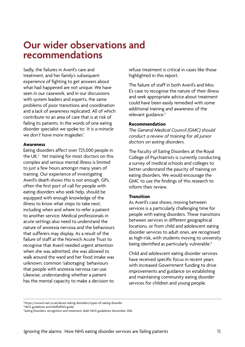### **Our wider observations and recommendations**

Sadly, the failures in Averil's care and treatment, and her family's subsequent experience of fighting to get answers about what had happened are not unique. We have seen in our casework, and in our discussions with system leaders and experts, the same problems of poor transitions and coordination and a lack of awareness replicated. All of which contribute to an area of care that is at risk of failing its patients. In the words of one eating disorder specialist we spoke to: *'it is a miracle we don't have more tragedies'.* 

#### **Awareness**

Eating disorders affect over 725,000 people in the UK.<sup>2</sup> Yet training for most doctors on this complex and serious mental illness is limited to just a few hours amongst many years of training. Our experience of investigating Averil's death shows this is not enough. GPs, often the first port of call for people with eating disorders who seek help, should be equipped with enough knowledge of the illness to know what steps to take next, including when and where to refer a patient to another service. Medical professionals in acute settings also need to understand the nature of anorexia nervosa and the behaviours that sufferers may display. As a result of the failure of staff at the Norwich Acute Trust to recognise that Averil needed urgent attention when she was admitted, she was allowed to walk around the ward and her food intake was unknown; common 'sabotaging' behaviours that people with anorexia nervosa can use. Likewise, understanding whether a patient has the mental capacity to make a decision to

refuse treatment is critical in cases like those highlighted in this report.

The failure of staff in both Averil's and Miss E's case to recognise the nature of their illness and seek appropriate advice about treatment could have been easily remedied with some additional training and awareness of the relevant guidance.<sup>3</sup>

#### **Recommendation**

*The General Medical Council (GMC) should conduct a review of training for all junior doctors on eating disorders.* 

The Faculty of Eating Disorders at the Royal College of Psychiatrists is currently conducting a survey of medical schools and colleges to better understand the paucity of training on eating disorders. We would encourage the GMC to use the findings of this research to inform their review.

#### **Transition**

As Averil's case shows, moving between services is a particularly challenging time for people with eating disorders. These transitions between services in different geographical locations, or from child and adolescent eating disorder services to adult ones, are recognised as high-risk, with students moving to university being identified as particularly vulnerable.<sup>4</sup>

Child and adolescent eating disorder services have received specific focus in recent years with increased Government funding to drive improvements and guidance on establishing and maintaining community eating disorder services for children and young people.

<sup>2</sup> https://www.b-eat.co.uk/about-eating-disorders/types-of-eating-disorder

<sup>&</sup>lt;sup>3</sup> NICE guidelines and MARSIPAN guide

<sup>4</sup> Eating Disorders: recognition and treatment; draft NICE guidelines; December 2016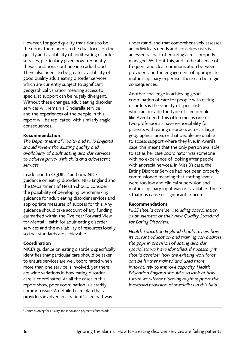However, for good quality transitions to be the norm, there needs to be dual focus on the quality and availability of adult eating disorder services, particularly given how frequently these conditions continue into adulthood. There also needs to be greater availability of good quality adult eating disorder services, which are currently subject to significant geographical variation meaning access to specialist support can be hugely divergent. Without these changes, adult eating disorder services will remain a Cinderella service and the experiences of the people in this report will be replicated, with similarly tragic consequences.

#### **Recommendation**

*The Department of Health and NHS England should review the existing quality and availability of adult eating disorder services to achieve parity with child and adolescent services.* 

In addition to CQUINs<sup>5</sup> and new NICE guidance on eating disorders, NHS England and the Department of Health should consider the possibility of developing benchmarking guidance for adult eating disorder services and appropriate measures of success for this. Any guidance should take account of any funding earmarked within the Five Year Forward View for Mental Health for adult eating disorder services and the availability of resources locally so that standards are achievable.

#### **Coordination**

NICE's guidance on eating disorders specifically identifies that particular care should be taken to ensure services are well coordinated when more than one service is involved, yet there are wide variations in how eating disorder care is coordinated. As all the cases in this report show, poor coordination is a starkly common issue. A detailed care plan that all providers involved in a patient's care pathway

understand, and that comprehensively assesses an individual's needs and considers risks is an essential part of ensuring care is properly managed. Without this, and in the absence of frequent and clear communication between providers and the engagement of appropriate multidisciplinary expertise, there can be tragic consequences.

Another challenge in achieving good coordination of care for people with eating disorders is the scarcity of specialists who can provide the type of care people like Averil need. This often means one or two professionals have responsibility for patients with eating disorders across a large geographical area, or that people are unable to access support where they live. In Averil's case, this meant that the only person available to act as her care coordinator was someone with no experience of looking after people with anorexia nervosa. In Miss B's case, the Eating Disorder Service had not been properly commissioned meaning that staffing levels were too low and clinical supervision and multidisciplinary input was not available. These situations cause us significant concern.

#### **Recommendations**

*NICE should consider including coordination as an element of their new Quality Standard for Eating Disorders.* 

*Health Education England should review how its current education and training can address the gaps in provision of eating disorder specialists we have identified. If necessary it should consider how the existing workforce can be further trained and used more innovatively to improve capacity. Health Education England should also look at how future workforce planning might support the increased provision of specialists in this field.* 

<sup>5</sup> Commissioning for Quality and Innovation payments framework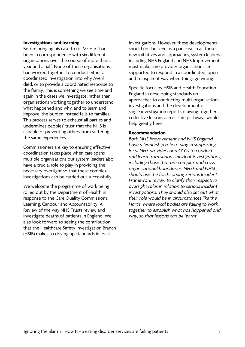#### **Investigations and learning**

Before bringing his case to us, Mr Hart had been in correspondence with six different organisations over the course of more than a year and a half. None of those organisations had worked together to conduct either a coordinated investigation into why Averil died, or to provide a coordinated response to the family. This is something we see time and again in the cases we investigate; rather than organisations working together to understand what happened and why, and to learn and improve, the burden instead falls to families. This process serves to exhaust all parties and undermines peoples' trust that the NHS is capable of preventing others from suffering the same experiences.

Commissioners are key to ensuring effective coordination takes place when care spans multiple organisations but system leaders also have a crucial role to play in providing the necessary oversight so that these complex investigations can be carried out successfully.

We welcome the programme of work being rolled out by the Department of Health in response to the Care Quality Commission's Learning, Candour and Accountability: A Review of the way NHS Trusts review and investigate deaths of patients in England. We also look forward to seeing the contribution that the Healthcare Safety Investigation Branch (HSIB) makes to driving up standards in local

investigations. However, these developments should not be seen as a panacea. In all these new initiatives and approaches, system leaders including NHS England and NHS Improvement must make sure provider organisations are supported to respond in a coordinated, open and transparent way when things go wrong.

Specific focus by HSIB and Health Education England in developing standards on approaches to conducting multi-organisational investigations and the development of single investigation reports drawing together collective lessons across care pathways would help greatly here.

#### **Recommendation**

*Both NHS Improvement and NHS England have a leadership role to play in supporting local NHS providers and CCGs to conduct and learn from serious incident investigations, including those that are complex and cross organisational boundaries. NHSE and NHSI should use the forthcoming Serious Incident Framework review to clarify their respective oversight roles in relation to serious incident investigations. They should also set out what their role would be in circumstances like the Hart's, where local bodies are failing to work together to establish what has happened and why, so that lessons can be learnt.*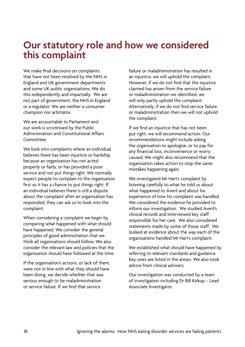### **Our statutory role and how we considered this complaint**

We make final decisions on complaints that have not been resolved by the NHS in England and UK government departments and some UK public organisations. We do this independently and impartially. We are not part of government, the NHS in England or a regulator. We are neither a consumer champion nor arbitrator.

We are accountable to Parliament and our work is scrutinised by the Public Administration and Constitutional Affairs Committee.

We look into complaints where an individual believes there has been injustice or hardship because an organisation has not acted properly or fairly, or has provided a poor service and not put things right. We normally expect people to complain to the organisation first so it has a chance to put things right. If an individual believes there is still a dispute about the complaint after an organisation has responded, they can ask us to look into the complaint.

When considering a complaint we begin by comparing what happened with what should have happened. We consider the general principles of good administration that we think all organisations should follow. We also consider the relevant law and policies that the organisation should have followed at the time.

If the organisation's actions, or lack of them, were not in line with what they should have been doing, we decide whether that was serious enough to be maladministration or service failure. If we find that service

failure or maladministration has resulted in an injustice, we will uphold the complaint. However, if we do not find that the injustice claimed has arisen from the service failure or maladministration we identified, we will only partly uphold the complaint. Alternatively, if we do not find service failure or maladministration then we will not uphold the complaint.

If we find an injustice that has not been put right, we will recommend action. Our recommendations might include asking the organisation to apologise, or to pay for any financial loss, inconvenience or worry caused. We might also recommend that the organisation takes action to stop the same mistakes happening again.

We investigated Mr Hart's complaint by listening carefully to what he told us about what happened to Averil and about his experience of how his complaint was handled. We considered the evidence he provided to inform our investigation. We studied Averil's clinical records and interviewed key staff responsible for her care. We also considered statements made by some of those staff. We looked at evidence about the way each of the organisations handled Mr Hart's complaint.

We established what should have happened by referring to relevant standards and guidance. Key ones are listed in the annex. We also took advice from clinical advisers.

Our investigation was conducted by a team of investigators including Dr Bill Kirkup – Lead Associate Investigator.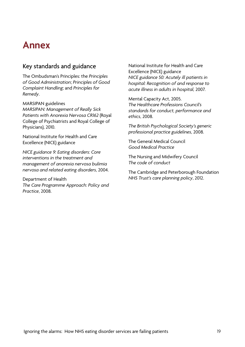### **Annex**

### Key standards and guidance

The Ombudsman's Principles: the *Principles of Good Administration*; *Principles of Good Complaint Handling*; and *Principles for Remedy*.

MARSIPAN guidelines

*MARSIPAN: Management of Really Sick Patients with Anorexia Nervosa CR162* (Royal College of Psychiatrists and Royal College of Physicians), 2010.

National Institute for Health and Care Excellence (NICE) guidance

*NICE guidance 9: Eating disorders: Core interventions in the treatment and management of anorexia nervosa bulimia nervosa and related eating disorders*, 2004.

Department of Health *The Care Programme Approach: Policy and Practice*, 2008.

National Institute for Health and Care Excellence (NICE) guidance *NICE guidance 50: Acutely ill patients in hospital: Recognition of and response to acute illness in adults in hospital,* 2007.

Mental Capacity Act, 2005. *The Healthcare Professions Council's standards for conduct, performance and ethics*, 2008.

*The British Psychological Society's generic professional practice guidelines*, 2008.

The General Medical Council *Good Medical Practice* 

The Nursing and Midwifery Council *The code of conduct* 

The Cambridge and Peterborough Foundation *NHS Trust's care planning policy*, 2012.